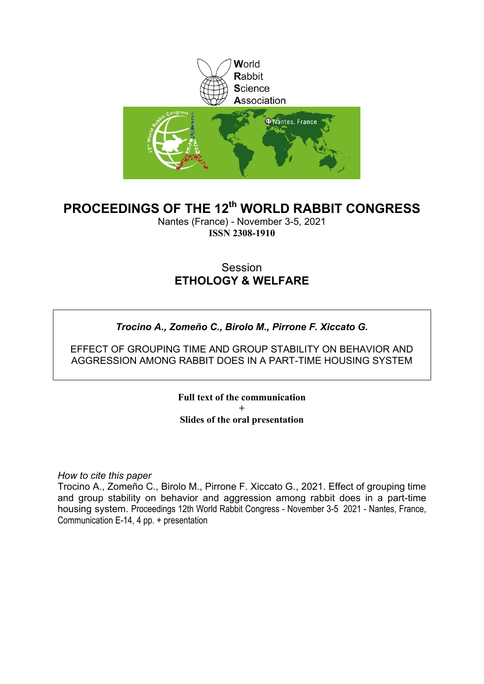

# **PROCEEDINGS OF THE 12th WORLD RABBIT CONGRESS**

Nantes (France) - November 3-5, 2021 **ISSN 2308-1910**

## **Session ETHOLOGY & WELFARE**

### *Trocino A., Zomeño C., Birolo M., Pirrone F. Xiccato G.*

EFFECT OF GROUPING TIME AND GROUP STABILITY ON BEHAVIOR AND AGGRESSION AMONG RABBIT DOES IN A PART-TIME HOUSING SYSTEM

> **Full text of the communication + Slides of the oral presentation**

*How to cite this paper*

Trocino A., Zomeño C., Birolo M., Pirrone F. Xiccato G., 2021. Effect of grouping time and group stability on behavior and aggression among rabbit does in a part-time housing system. Proceedings 12th World Rabbit Congress - November 3-5 2021 - Nantes, France, Communication E-14, 4 pp. + presentation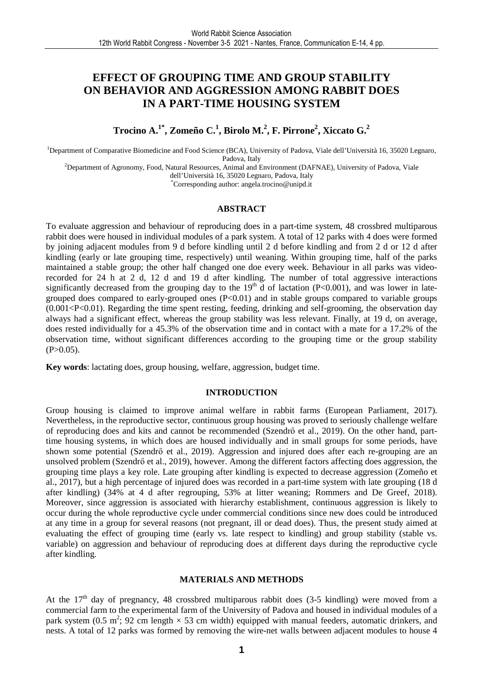### **EFFECT OF GROUPING TIME AND GROUP STABILITY ON BEHAVIOR AND AGGRESSION AMONG RABBIT DOES IN A PART-TIME HOUSING SYSTEM**

**Trocino A.1\*, Zomeño C.<sup>1</sup> , Birolo M.<sup>2</sup> , F. Pirrone<sup>2</sup> , Xiccato G.<sup>2</sup>**

<sup>1</sup>Department of Comparative Biomedicine and Food Science (BCA), University of Padova, Viale dell'Università 16, 35020 Legnaro, Padova, Italy

<sup>2</sup>Department of Agronomy, Food, Natural Resources, Animal and Environment (DAFNAE), University of Padova, Viale

dell'Università 16, 35020 Legnaro, Padova, Italy

\*Corresponding author: angela.trocino@unipd.it

#### **ABSTRACT**

To evaluate aggression and behaviour of reproducing does in a part-time system, 48 crossbred multiparous rabbit does were housed in individual modules of a park system. A total of 12 parks with 4 does were formed by joining adjacent modules from 9 d before kindling until 2 d before kindling and from 2 d or 12 d after kindling (early or late grouping time, respectively) until weaning. Within grouping time, half of the parks maintained a stable group; the other half changed one doe every week. Behaviour in all parks was videorecorded for 24 h at 2 d, 12 d and 19 d after kindling. The number of total aggressive interactions significantly decreased from the grouping day to the  $19<sup>th</sup>$  d of lactation (P<0.001), and was lower in lategrouped does compared to early-grouped ones  $(P<0.01)$  and in stable groups compared to variable groups (0.001<P<0.01). Regarding the time spent resting, feeding, drinking and self-grooming, the observation day always had a significant effect, whereas the group stability was less relevant. Finally, at 19 d, on average, does rested individually for a 45.3% of the observation time and in contact with a mate for a 17.2% of the observation time, without significant differences according to the grouping time or the group stability  $(P>0.05)$ .

**Key words**: lactating does, group housing, welfare, aggression, budget time.

#### **INTRODUCTION**

Group housing is claimed to improve animal welfare in rabbit farms (European Parliament, 2017). Nevertheless, in the reproductive sector, continuous group housing was proved to seriously challenge welfare of reproducing does and kits and cannot be recommended (Szendrő et al., 2019). On the other hand, parttime housing systems, in which does are housed individually and in small groups for some periods, have shown some potential (Szendrő et al., 2019). Aggression and injured does after each re-grouping are an unsolved problem (Szendrő et al., 2019), however. Among the different factors affecting does aggression, the grouping time plays a key role. Late grouping after kindling is expected to decrease aggression (Zomeño et al., 2017), but a high percentage of injured does was recorded in a part-time system with late grouping (18 d after kindling) (34% at 4 d after regrouping, 53% at litter weaning; Rommers and De Greef, 2018). Moreover, since aggression is associated with hierarchy establishment, continuous aggression is likely to occur during the whole reproductive cycle under commercial conditions since new does could be introduced at any time in a group for several reasons (not pregnant, ill or dead does). Thus, the present study aimed at evaluating the effect of grouping time (early vs. late respect to kindling) and group stability (stable vs. variable) on aggression and behaviour of reproducing does at different days during the reproductive cycle after kindling.

#### **MATERIALS AND METHODS**

At the  $17<sup>th</sup>$  day of pregnancy, 48 crossbred multiparous rabbit does (3-5 kindling) were moved from a commercial farm to the experimental farm of the University of Padova and housed in individual modules of a park system (0.5 m<sup>2</sup>; 92 cm length  $\times$  53 cm width) equipped with manual feeders, automatic drinkers, and nests. A total of 12 parks was formed by removing the wire-net walls between adjacent modules to house 4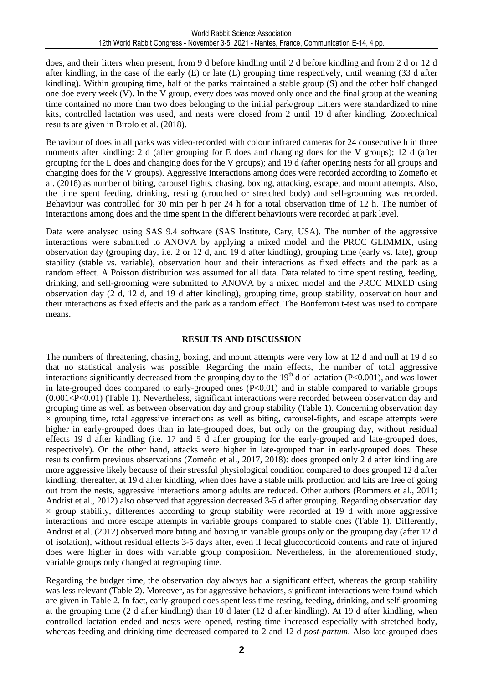does, and their litters when present, from 9 d before kindling until 2 d before kindling and from 2 d or 12 d after kindling, in the case of the early (E) or late (L) grouping time respectively, until weaning (33 d after kindling). Within grouping time, half of the parks maintained a stable group (S) and the other half changed one doe every week (V). In the V group, every does was moved only once and the final group at the weaning time contained no more than two does belonging to the initial park/group Litters were standardized to nine kits, controlled lactation was used, and nests were closed from 2 until 19 d after kindling. Zootechnical results are given in Birolo et al. (2018).

Behaviour of does in all parks was video-recorded with colour infrared cameras for 24 consecutive h in three moments after kindling: 2 d (after grouping for E does and changing does for the V groups); 12 d (after grouping for the L does and changing does for the V groups); and 19 d (after opening nests for all groups and changing does for the V groups). Aggressive interactions among does were recorded according to Zomeño et al. (2018) as number of biting, carousel fights, chasing, boxing, attacking, escape, and mount attempts. Also, the time spent feeding, drinking, resting (crouched or stretched body) and self-grooming was recorded. Behaviour was controlled for 30 min per h per 24 h for a total observation time of 12 h. The number of interactions among does and the time spent in the different behaviours were recorded at park level.

Data were analysed using SAS 9.4 software (SAS Institute, Cary, USA). The number of the aggressive interactions were submitted to ANOVA by applying a mixed model and the PROC GLIMMIX, using observation day (grouping day, i.e. 2 or 12 d, and 19 d after kindling), grouping time (early vs. late), group stability (stable vs. variable), observation hour and their interactions as fixed effects and the park as a random effect. A Poisson distribution was assumed for all data. Data related to time spent resting, feeding, drinking, and self-grooming were submitted to ANOVA by a mixed model and the PROC MIXED using observation day (2 d, 12 d, and 19 d after kindling), grouping time, group stability, observation hour and their interactions as fixed effects and the park as a random effect. The Bonferroni t-test was used to compare means.

#### **RESULTS AND DISCUSSION**

The numbers of threatening, chasing, boxing, and mount attempts were very low at 12 d and null at 19 d so that no statistical analysis was possible. Regarding the main effects, the number of total aggressive interactions significantly decreased from the grouping day to the  $19<sup>th</sup>$  d of lactation (P<0.001), and was lower in late-grouped does compared to early-grouped ones (P<0.01) and in stable compared to variable groups (0.001<P<0.01) (Table 1). Nevertheless, significant interactions were recorded between observation day and grouping time as well as between observation day and group stability (Table 1). Concerning observation day  $\times$  grouping time, total aggressive interactions as well as biting, carousel-fights, and escape attempts were higher in early-grouped does than in late-grouped does, but only on the grouping day, without residual effects 19 d after kindling (i.e. 17 and 5 d after grouping for the early-grouped and late-grouped does, respectively). On the other hand, attacks were higher in late-grouped than in early-grouped does. These results confirm previous observations (Zomeño et al., 2017, 2018): does grouped only 2 d after kindling are more aggressive likely because of their stressful physiological condition compared to does grouped 12 d after kindling; thereafter, at 19 d after kindling, when does have a stable milk production and kits are free of going out from the nests, aggressive interactions among adults are reduced. Other authors (Rommers et al., 2011; Andrist et al., 2012) also observed that aggression decreased 3-5 d after grouping. Regarding observation day  $\times$  group stability, differences according to group stability were recorded at 19 d with more aggressive interactions and more escape attempts in variable groups compared to stable ones (Table 1). Differently, Andrist et al. (2012) observed more biting and boxing in variable groups only on the grouping day (after 12 d of isolation), without residual effects 3-5 days after, even if fecal glucocorticoid contents and rate of injured does were higher in does with variable group composition. Nevertheless, in the aforementioned study, variable groups only changed at regrouping time.

Regarding the budget time, the observation day always had a significant effect, whereas the group stability was less relevant (Table 2). Moreover, as for aggressive behaviors, significant interactions were found which are given in Table 2. In fact, early-grouped does spent less time resting, feeding, drinking, and self-grooming at the grouping time (2 d after kindling) than 10 d later (12 d after kindling). At 19 d after kindling, when controlled lactation ended and nests were opened, resting time increased especially with stretched body, whereas feeding and drinking time decreased compared to 2 and 12 d *post-partum*. Also late-grouped does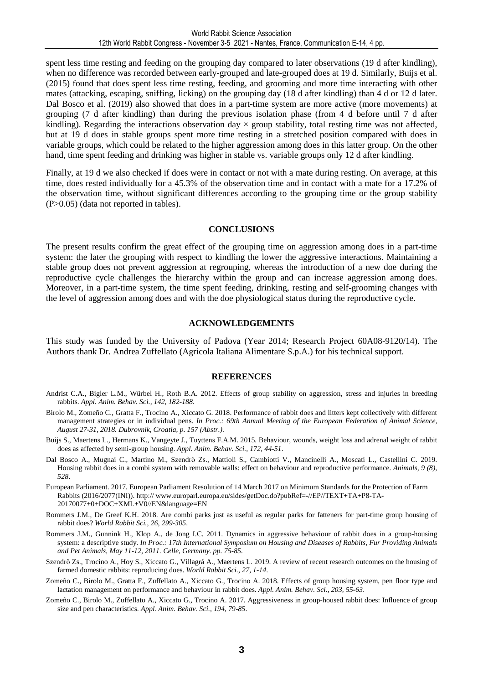spent less time resting and feeding on the grouping day compared to later observations (19 d after kindling), when no difference was recorded between early-grouped and late-grouped does at 19 d. Similarly, Buijs et al. (2015) found that does spent less time resting, feeding, and grooming and more time interacting with other mates (attacking, escaping, sniffing, licking) on the grouping day (18 d after kindling) than 4 d or 12 d later. Dal Bosco et al. (2019) also showed that does in a part-time system are more active (more movements) at grouping (7 d after kindling) than during the previous isolation phase (from 4 d before until 7 d after kindling). Regarding the interactions observation day  $\times$  group stability, total resting time was not affected, but at 19 d does in stable groups spent more time resting in a stretched position compared with does in variable groups, which could be related to the higher aggression among does in this latter group. On the other hand, time spent feeding and drinking was higher in stable vs. variable groups only 12 d after kindling.

Finally, at 19 d we also checked if does were in contact or not with a mate during resting. On average, at this time, does rested individually for a 45.3% of the observation time and in contact with a mate for a 17.2% of the observation time, without significant differences according to the grouping time or the group stability (P>0.05) (data not reported in tables).

#### **CONCLUSIONS**

The present results confirm the great effect of the grouping time on aggression among does in a part-time system: the later the grouping with respect to kindling the lower the aggressive interactions. Maintaining a stable group does not prevent aggression at regrouping, whereas the introduction of a new doe during the reproductive cycle challenges the hierarchy within the group and can increase aggression among does. Moreover, in a part-time system, the time spent feeding, drinking, resting and self-grooming changes with the level of aggression among does and with the doe physiological status during the reproductive cycle.

#### **ACKNOWLEDGEMENTS**

This study was funded by the University of Padova (Year 2014; Research Project 60A08-9120/14). The Authors thank Dr. Andrea Zuffellato (Agricola Italiana Alimentare S.p.A.) for his technical support.

#### **REFERENCES**

- Andrist C.A., Bigler L.M., Würbel H., Roth B.A. 2012. Effects of group stability on aggression, stress and injuries in breeding rabbits. *Appl. Anim. Behav. Sci., 142, 182-188.*
- Birolo M., Zomeño C., Gratta F., Trocino A., Xiccato G. 2018. Performance of rabbit does and litters kept collectively with different management strategies or in individual pens. *In Proc.: 69th Annual Meeting of the European Federation of Animal Science, August 27-31, 2018. Dubrovnik, Croatia, p. 157 (Abstr.).*
- Buijs S., Maertens L., Hermans K., Vangeyte J., Tuyttens F.A.M. 2015. Behaviour, wounds, weight loss and adrenal weight of rabbit does as affected by semi-group housing. *Appl. Anim. Behav. Sci., 172, 44-51*.
- Dal Bosco A., Mugnai C., Martino M., Szendrő Zs., Mattioli S., Cambiotti V., Mancinelli A., Moscati L., Castellini C. 2019. Housing rabbit does in a combi system with removable walls: effect on behaviour and reproductive performance. *Animals, 9 (8), 528*.
- European Parliament. 2017. European Parliament Resolution of 14 March 2017 on Minimum Standards for the Protection of Farm Rabbits (2016/2077(INI)). http:// www.europarl.europa.eu/sides/getDoc.do?pubRef=-//EP//TEXT+TA+P8-TA-20170077+0+DOC+XML+V0//EN&language=EN
- Rommers J.M., De Greef K.H. 2018. Are combi parks just as useful as regular parks for fatteners for part-time group housing of rabbit does? *World Rabbit Sci., 26, 299-305*.
- Rommers J.M., Gunnink H., Klop A., de Jong I.C. 2011. Dynamics in aggressive behaviour of rabbit does in a group-housing system: a descriptive study. *In Proc.: 17th International Symposium on Housing and Diseases of Rabbits, Fur Providing Animals and Pet Animals, May 11-12, 2011. Celle, Germany. pp. 75-85.*
- Szendrő Zs., Trocino A., Hoy S., Xiccato G., Villagrá A., Maertens L. 2019. A review of recent research outcomes on the housing of farmed domestic rabbits: reproducing does. *World Rabbit Sci., 27, 1-14*.
- Zomeño C., Birolo M., Gratta F., Zuffellato A., Xiccato G., Trocino A. 2018. Effects of group housing system, pen floor type and lactation management on performance and behaviour in rabbit does. *Appl. Anim. Behav. Sci., 203, 55-63*.
- Zomeño C., Birolo M., Zuffellato A., Xiccato G., Trocino A. 2017. Aggressiveness in group-housed rabbit does: Influence of group size and pen characteristics. *Appl. Anim. Behav. Sci., 194, 79-85*.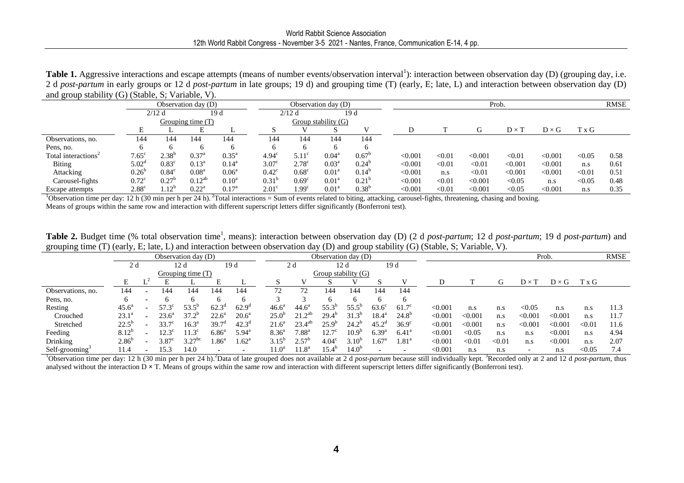**Table 1.** Aggressive interactions and escape attempts (means of number events/observation interval<sup>1</sup>): interaction between observation day (D) (grouping day, i.e. 2 d *post-partum* in early groups or 12 d *post-partum* in late groups; 19 d) and grouping time (T) (early, E; late, L) and interaction between observation day (D) and group stability (G) (Stable, S; Variable, V).

|                                 | $\sim$ $\sim$ $\sim$<br>Observation day (D) |                   |                   |                   |                   | Observation day (D) |                   |                |  | Prob.   |        |         |              |              |        | <b>RMSE</b> |
|---------------------------------|---------------------------------------------|-------------------|-------------------|-------------------|-------------------|---------------------|-------------------|----------------|--|---------|--------|---------|--------------|--------------|--------|-------------|
|                                 | $2/12$ d<br>19 d                            |                   |                   | 19 d<br>$2/12$ d  |                   |                     |                   |                |  |         |        |         |              |              |        |             |
|                                 |                                             |                   | Grouping time (T) |                   |                   | Group stability (G) |                   |                |  |         |        |         |              |              |        |             |
|                                 |                                             |                   |                   |                   |                   |                     |                   |                |  |         |        |         | $D \times 1$ | $D \times G$ | T x G  |             |
| Observations, no.               | 144                                         | 144               | 144               | 144               | 144               | 144                 | 144               | 144            |  |         |        |         |              |              |        |             |
| Pens, no.                       |                                             | h                 | h                 | h                 |                   |                     | <sub>0</sub>      |                |  |         |        |         |              |              |        |             |
| Total interactions <sup>2</sup> | $7.65^\circ$                                | $2.38^{b}$        | $0.37^{\rm a}$    | $0.35^{\text{a}}$ | $4.94^{\circ}$    | $5.11^{\circ}$      | $0.04^{\rm a}$    | $0.67^{\circ}$ |  | < 0.001 | < 0.01 | < 0.001 | < 0.01       | < 0.001      | < 0.05 | 0.58        |
| <b>Biting</b>                   | $5.02^{\circ}$                              | $0.83^{\circ}$    | $0.13^{\rm a}$    | $0.14^{\rm a}$    | 3.07 <sup>c</sup> | $2.78^{\circ}$      | $0.03^{\rm a}$    | $0.24^{b}$     |  | < 0.001 | < 0.01 | < 0.01  | < 0.001      | < 0.001      | n.s    | 0.61        |
| Attacking                       | $0.26^{b}$                                  | $0.84^\circ$      | 0.08 <sup>a</sup> | $0.06^{\circ}$    | $0.42^{\circ}$    | $0.68^{\circ}$      | 0.01 <sup>a</sup> | $0.14^{b}$     |  | < 0.001 | n.s    | < 0.01  | < 0.001      | < 0.001      | < 0.01 | 0.51        |
| Carousel-fights                 | $0.72^{\circ}$                              | 0.27 <sup>b</sup> | $0.12^{ab}$       | $0.10^a$          | $0.31^{b}$        | 0.69 <sup>c</sup>   | 0.01 <sup>a</sup> | $0.21^{b}$     |  | < 0.001 | < 0.01 | < 0.001 | < 0.05       | n.s          | < 0.05 | 0.48        |
| Escape attempts                 | 2.88 <sup>c</sup>                           | .12 <sup>b</sup>  | $0.22^{\rm a}$    | 0.17 <sup>a</sup> | 2.01 <sup>c</sup> | 1.99 <sup>c</sup>   | 0.01 <sup>a</sup> | $0.38^{b}$     |  | < 0.001 | < 0.01 | < 0.001 | < 0.05       | < 0.001      | n.s    | 0.35        |

<sup>1</sup>Observation time per day: 12 h (30 min per h per 24 h). <sup>2</sup>Total interactions = Sum of events related to biting, attacking, carousel-fights, threatening, chasing and boxing. Means of groups within the same row and interaction with different superscript letters differ significantly (Bonferroni test).

**Table 2.** Budget time (% total observation time<sup>1</sup>, means): interaction between observation day (D) (2 d *post-partum*; 12 d *post-partum*; 19 d *post-partum*) and grouping time (T) (early, E; late, L) and interaction between observation day (D) and group stability (G) (Stable, S; Variable, V).

|                   | Observation day (D) |                |                |                   |                     |                | Observation day (D) |                     |                   |                   |                |                |         |         |        | Prob.        |              | <b>RMSE</b> |      |
|-------------------|---------------------|----------------|----------------|-------------------|---------------------|----------------|---------------------|---------------------|-------------------|-------------------|----------------|----------------|---------|---------|--------|--------------|--------------|-------------|------|
|                   | 2 d                 |                |                | 12 d              |                     | 19d            |                     | 2 d                 |                   | 12 d              |                | 19d            |         |         |        |              |              |             |      |
|                   | Grouping time $(T)$ |                |                |                   |                     |                | Group stability (G) |                     |                   |                   |                |                |         |         |        |              |              |             |      |
|                   | E                   |                |                |                   | Е                   |                |                     |                     |                   |                   |                | V              |         |         | G      | $D \times T$ | $D \times G$ | T x G       |      |
| Observations, no. | 144                 |                | 144            | 144               | 144                 | 144            | 72                  | 72                  | 144               | 144               | 144            | 144            |         |         |        |              |              |             |      |
| Pens, no.         | 6                   |                |                | <sub>0</sub>      | 6                   | b              |                     |                     | 6                 |                   |                | 6              |         |         |        |              |              |             |      |
| Resting           | $45.6^{\circ}$      |                | $57.3^{\circ}$ | $53.5^{\circ}$    | $62.3^{\circ}$      | $62.9^{\circ}$ | $46.6^a$            | $44.6^{\circ}$      | 55.3              | $55.5^{\circ}$    | $63.6^{\circ}$ | $61.7^\circ$   | < 0.001 | n.s     | n.s    | < 0.05       | n.s          | n.s         | 11.3 |
| Crouched          | $23.1^a$            |                | $23.6^{\circ}$ | $37.2^{b}$        | $22.6^{\circ}$      | $20.6^{\circ}$ | $25.0^{b}$          | $21.2^{ab}$         | $29.4^{\circ}$    | $31.3^{b}$        | 18.4°          | $24.8^{b}$     | < 0.001 | < 0.001 | n.s    | < 0.001      | < 0.001      | n.s         | 11.7 |
| Stretched         | $22.5^{b}$          |                | $33.7^\circ$   | $16.3^{\text{a}}$ | $39.7^{\circ}$      | $42.3^{\rm d}$ | $21.6^{\circ}$      | $23.4^{ab}$         | $25.9^{b}$        | $24.2^{b}$        | $45.2^{\circ}$ | $36.9^\circ$   | < 0.001 | < 0.001 | n.s    | < 0.001      | < 0.001      | < 0.01      | 11.6 |
| Feeding           | $8.12^{b}$          |                | $12.3^\circ$   | $11.3^{\circ}$    | $6.86^{\mathrm{a}}$ | $5.94^{\rm a}$ | $8.36^{a}$          | $7.88$ <sup>a</sup> | $12.7^\circ$      | 10.9 <sup>c</sup> | $6.39^{a}$     | $6.41^{\circ}$ | < 0.001 | < 0.05  | n.s    | n.s          | < 0.001      | n.s         | 4.94 |
| Drinking          | $2.86^{b}$          | $\blacksquare$ | $3.87^{\circ}$ | $3.27^{bc}$       | $0.86^a$            | $1.62^{\rm a}$ | $3.15^{b}$          | $2.57^{\circ}$      | 4.04 <sup>c</sup> | $3.10^{b}$        | $4.67^{\circ}$ | $1.81^{\rm a}$ | < 0.001 | < 0.01  | < 0.01 | n.s          | < 0.001      | n.s         | 2.07 |
| Self-grooming     | 1.4                 |                | 15.3           | 14.0              |                     |                | $11.0^a$            | 1.8 <sup>a</sup>    | $15.4^{b}$        | 14.0 <sup>o</sup> |                |                | < 0.001 | n.s     | n.s    |              | n.s          | < 0.05      | 7.4  |

<sup>1</sup>Observation time per day: 12 h (30 min per h per 24 h).<sup>2</sup>Data of late grouped does not available at 2 d *post-partum* because still individually kept. <sup>3</sup>Recorded only at 2 and 12 d *post-partum*, thus analysed without the interaction D  $\times$  T. Means of groups within the same row and interaction with different superscript letters differ significantly (Bonferroni test).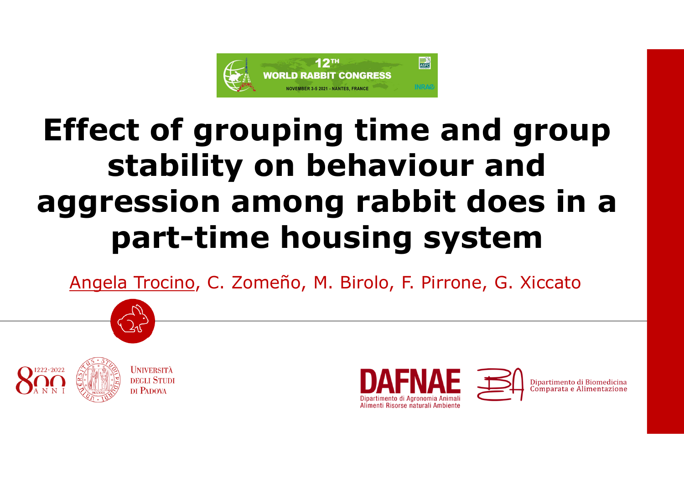

# **Effect of grouping time and group stability on behaviour and aggression among rabbit does in a part-time housing system**

Angela Trocino, C. Zomeño, M. Birolo, F. Pirrone, G. Xiccato









Dipartimento di Bio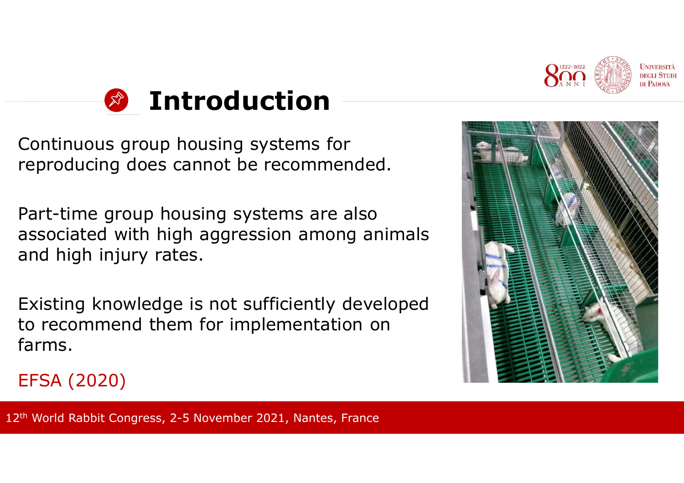



Continuous group housing systems for reproducing does cannot be recommended.

Part-time group housing systems are also associated with high aggression among animals<br>and high injury rates and high injury rates.

Existing knowledge is not sufficiently developed to recommend them for implementation on farms.



# EFSA (2020)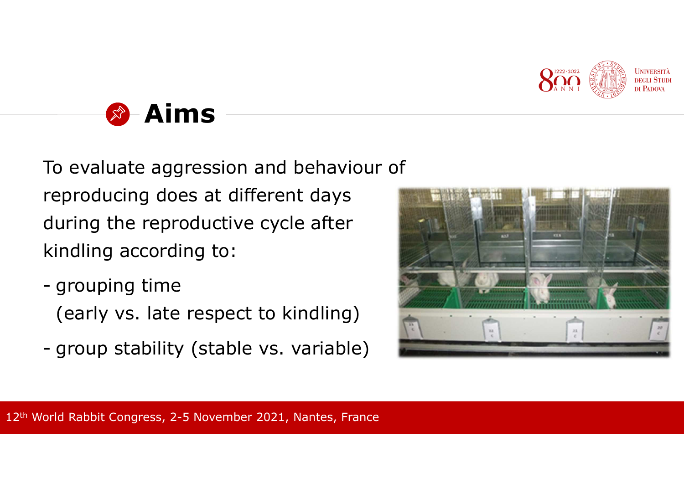



To evaluate aggression and behaviour of reproducing does at different days during the reproductive cycle after kindling according to:

- grouping time (early vs. late respect to kindling)
- group stability (stable vs. variable)

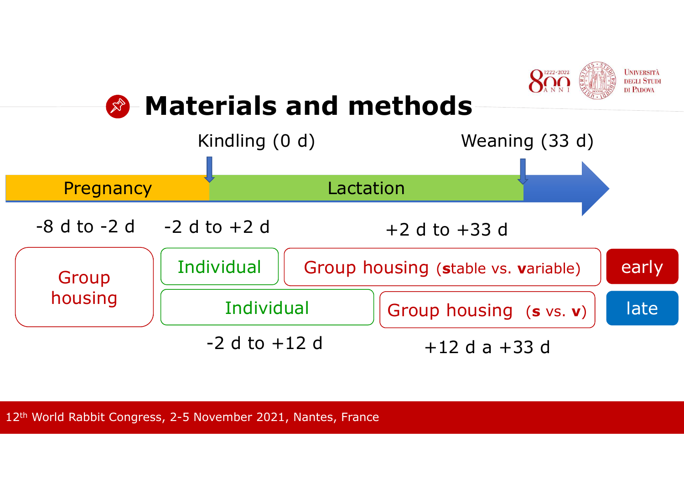

# **Materials and methods**

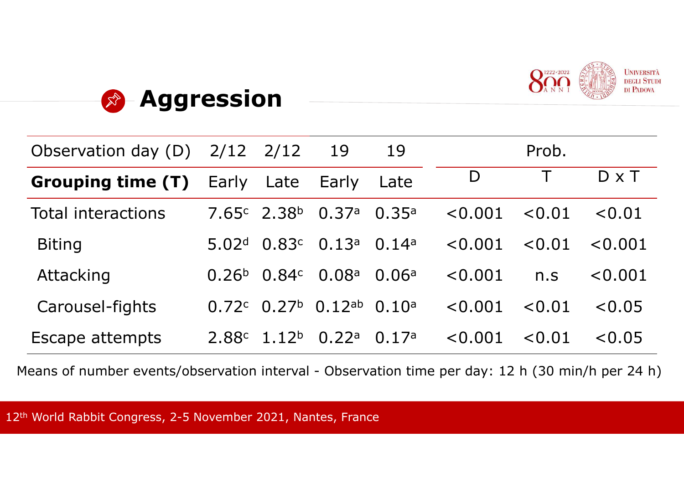



| Observation day (D)       | 2/12              | 2/12                          | 19                | 19    |         | Prob.      |              |
|---------------------------|-------------------|-------------------------------|-------------------|-------|---------|------------|--------------|
| <b>Grouping time (T)</b>  | Early             | Late                          | Early             | Late  | D       |            | $D \times T$ |
| <b>Total interactions</b> |                   | $7.65c$ 2.38 <sup>b</sup>     | 0.37a             | 0.35a | < 0.001 | < 0.01     | < 0.01       |
| <b>Biting</b>             | 5.02 <sup>d</sup> | 0.83c                         | 0.13a             | 0.14a | < 0.001 | $\le 0.01$ | $\le 0.001$  |
| Attacking                 | 0.26 <sup>b</sup> | 0.84c                         | 0.08 <sup>a</sup> | 0.06a | < 0.001 | n.S        | < 0.001      |
| Carousel-fights           |                   | $0.72^{\circ}$ $0.27^{\circ}$ | $0.12$ ab         | 0.10a | < 0.001 | < 0.01     | < 0.05       |
| <b>Escape attempts</b>    | 2.88 <sup>c</sup> | 1.12 <sup>b</sup>             | 0.22a             | 0.17a | < 0.001 | < 0.01     | < 0.05       |

Means of number events/observation interval - Observation time per day: 12 h (30 min/h per 24 h)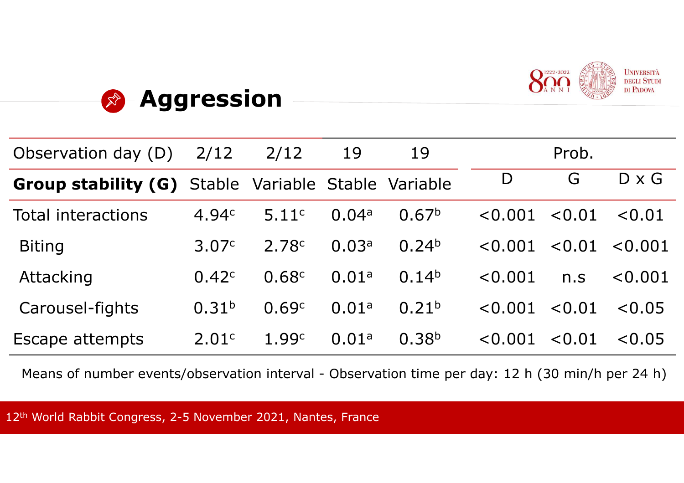



| Observation day (D)                                        | 2/12              | 2/12  | 19    | 19                |         | Prob.      |              |
|------------------------------------------------------------|-------------------|-------|-------|-------------------|---------|------------|--------------|
| <b>Group stability (G)</b> Stable Variable Stable Variable |                   |       |       |                   | D       | G          | $D \times G$ |
| <b>Total interactions</b>                                  | 4.94c             | 5.11c | 0.04a | 0.67 <sup>b</sup> | < 0.001 | $\le 0.01$ | $\leq 0.01$  |
| <b>Biting</b>                                              | 3.07c             | 2.78c | 0.03a | 0.24 <sup>b</sup> | < 0.001 | < 0.01     | < 0.001      |
| Attacking                                                  | 0.42c             | 0.68c | 0.01a | 0.14 <sup>b</sup> | < 0.001 | n.S        | < 0.001      |
| Carousel-fights                                            | 0.31 <sup>b</sup> | 0.69c | 0.01a | 0.21 <sup>b</sup> | < 0.001 | < 0.01     | $\le 0.05$   |
| Escape attempts                                            | 2.01c             | 1.99c | 0.01a | 0.38 <sup>b</sup> | < 0.001 | < 0.01     | < 0.05       |

Means of number events/observation interval - Observation time per day: 12 h (30 min/h per 24 h)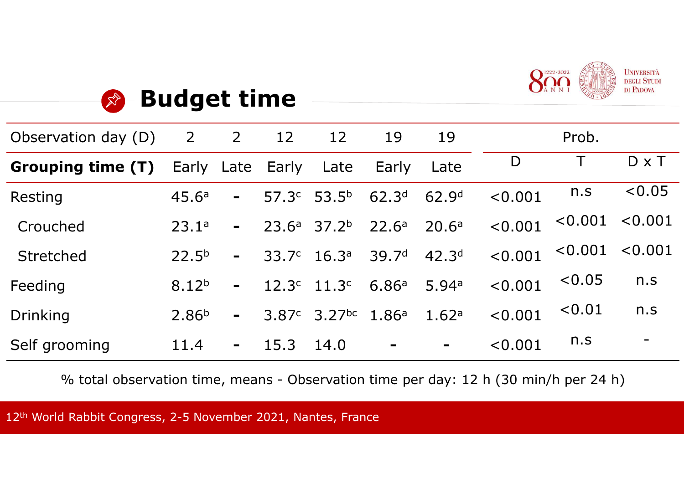



| Observation day (D) | 2                 | 2              | 12                | 12                 | 19                | 19                |         | Prob.   |                          |
|---------------------|-------------------|----------------|-------------------|--------------------|-------------------|-------------------|---------|---------|--------------------------|
| Grouping time (T)   | Early Late        |                | Early             | Late               | Early             | Late              | D       |         | $D \times T$             |
| Resting             | 45.6a             | $\blacksquare$ | 57.3 <sup>c</sup> | 53.5 <sup>b</sup>  | 62.3 <sup>d</sup> | 62.9 <sup>d</sup> | < 0.001 | n.S     | < 0.05                   |
| Crouched            | 23.1a             | $\blacksquare$ | 23.6a             | 37.2 <sup>b</sup>  | 22.6 <sup>a</sup> | 20.6 <sup>a</sup> | < 0.001 | < 0.001 | $\le 0.001$              |
| <b>Stretched</b>    | 22.5 <sup>b</sup> | $\blacksquare$ | 33.7c             | 16.3 <sup>a</sup>  | 39.7 <sup>d</sup> | 42.3 <sup>d</sup> | < 0.001 | < 0.001 | < 0.001                  |
| Feeding             | 8.12 <sup>b</sup> | $\blacksquare$ | 12.3 <sup>c</sup> | 11.3 <sup>c</sup>  | 6.86a             | 5.94a             | < 0.001 | < 0.05  | n.S                      |
| <b>Drinking</b>     | 2.86 <sup>b</sup> | $\blacksquare$ | 3.87c             | 3.27 <sup>bc</sup> | 1.86a             | 1.62a             | < 0.001 | < 0.01  | n.S                      |
| Self grooming       | 11.4              | $\blacksquare$ | 15.3              | 14.0               | $\blacksquare$    | $\blacksquare$    | < 0.001 | n.s     | $\overline{\phantom{0}}$ |

% total observation time, means - Observation time per day: 12 h (30 min/h per 24 h)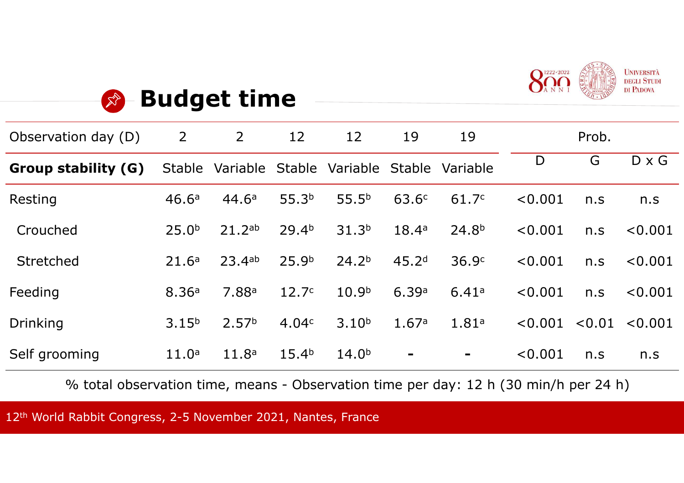



| Observation day (D) | 2                 | $\overline{2}$    | 12                | 12                     | 19                | 19                |         | Prob.  |              |
|---------------------|-------------------|-------------------|-------------------|------------------------|-------------------|-------------------|---------|--------|--------------|
| Group stability (G) | <b>Stable</b>     | Variable          |                   | Stable Variable Stable |                   | Variable          | D       | G      | $D \times G$ |
| Resting             | 46.6 <sup>a</sup> | 44.6 <sup>a</sup> | 55.3 <sup>b</sup> | $55.5^{b}$             | 63.6 <sup>c</sup> | 61.7c             | < 0.001 | n.S    | n.S          |
| Crouched            | 25.0 <sup>b</sup> | 21.2ab            | 29.4 <sup>b</sup> | 31.3 <sup>b</sup>      | 18.4a             | 24.8 <sup>b</sup> | < 0.001 | n.s    | < 0.001      |
| <b>Stretched</b>    | 21.6 <sup>a</sup> | $23.4^{ab}$       | 25.9 <sup>b</sup> | 24.2 <sup>b</sup>      | 45.2 <sup>d</sup> | 36.9c             | < 0.001 | n.S    | < 0.001      |
| Feeding             | 8.36a             | 7.88a             | 12.7 <sup>c</sup> | 10.9 <sup>b</sup>      | 6.39a             | 6.41a             | < 0.001 | n.s    | < 0.001      |
| <b>Drinking</b>     | 3.15 <sup>b</sup> | 2.57 <sup>b</sup> | 4.04c             | 3.10 <sup>b</sup>      | 1.67a             | 1.81a             | < 0.001 | < 0.01 | < 0.001      |
| Self grooming       | 11.0 <sup>a</sup> | 11.8 <sup>a</sup> | 15.4 <sup>b</sup> | 14.0 <sup>b</sup>      | $\blacksquare$    | $\blacksquare$    | < 0.001 | n.S    | n.S          |

% total observation time, means - Observation time per day: 12 h (30 min/h per 24 h)